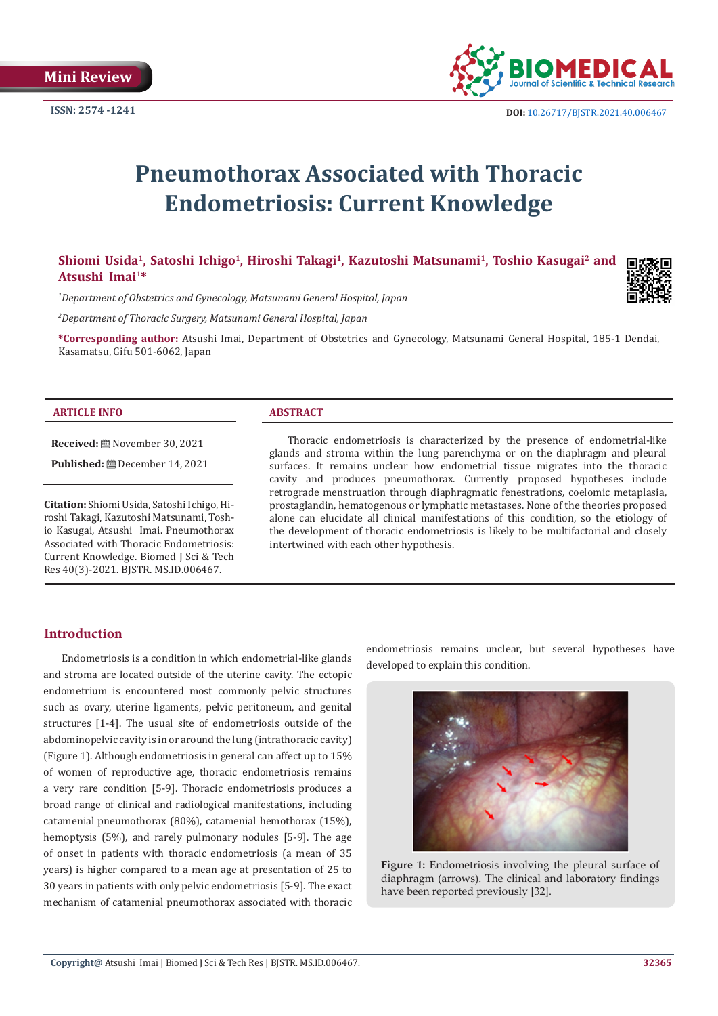

# **Pneumothorax Associated with Thoracic Endometriosis: Current Knowledge**

## **Shiomi Usida1, Satoshi Ichigo1, Hiroshi Takagi1, Kazutoshi Matsunami1, Toshio Kasugai2 and Atsushi Imai1\***

*1 Department of Obstetrics and Gynecology, Matsunami General Hospital, Japan*

*2 Department of Thoracic Surgery, Matsunami General Hospital, Japan*

**\*Corresponding author:** Atsushi Imai, Department of Obstetrics and Gynecology, Matsunami General Hospital, 185-1 Dendai, Kasamatsu, Gifu 501-6062, Japan

#### **ARTICLE INFO ABSTRACT**

**Received:** November 30, 2021 **Published:** December 14, 2021

**Citation:** Shiomi Usida, Satoshi Ichigo, Hiroshi Takagi, Kazutoshi Matsunami, Toshio Kasugai, Atsushi Imai. Pneumothorax Associated with Thoracic Endometriosis: Current Knowledge. Biomed J Sci & Tech Res 40(3)-2021. BJSTR. MS.ID.006467.

#### Thoracic endometriosis is characterized by the presence of endometrial-like glands and stroma within the lung parenchyma or on the diaphragm and pleural surfaces. It remains unclear how endometrial tissue migrates into the thoracic cavity and produces pneumothorax. Currently proposed hypotheses include retrograde menstruation through diaphragmatic fenestrations, coelomic metaplasia, prostaglandin, hematogenous or lymphatic metastases. None of the theories proposed alone can elucidate all clinical manifestations of this condition, so the etiology of the development of thoracic endometriosis is likely to be multifactorial and closely intertwined with each other hypothesis.

### **Introduction**

Endometriosis is a condition in which endometrial-like glands and stroma are located outside of the uterine cavity. The ectopic endometrium is encountered most commonly pelvic structures such as ovary, uterine ligaments, pelvic peritoneum, and genital structures [1-4]. The usual site of endometriosis outside of the abdominopelvic cavity is in or around the lung (intrathoracic cavity) (Figure 1). Although endometriosis in general can affect up to 15% of women of reproductive age, thoracic endometriosis remains a very rare condition [5-9]. Thoracic endometriosis produces a broad range of clinical and radiological manifestations, including catamenial pneumothorax (80%), catamenial hemothorax (15%), hemoptysis (5%), and rarely pulmonary nodules [5-9]. The age of onset in patients with thoracic endometriosis (a mean of 35 years) is higher compared to a mean age at presentation of 25 to 30 years in patients with only pelvic endometriosis [5-9]. The exact mechanism of catamenial pneumothorax associated with thoracic

endometriosis remains unclear, but several hypotheses have developed to explain this condition.



**Figure 1:** Endometriosis involving the pleural surface of diaphragm (arrows). The clinical and laboratory findings have been reported previously [32].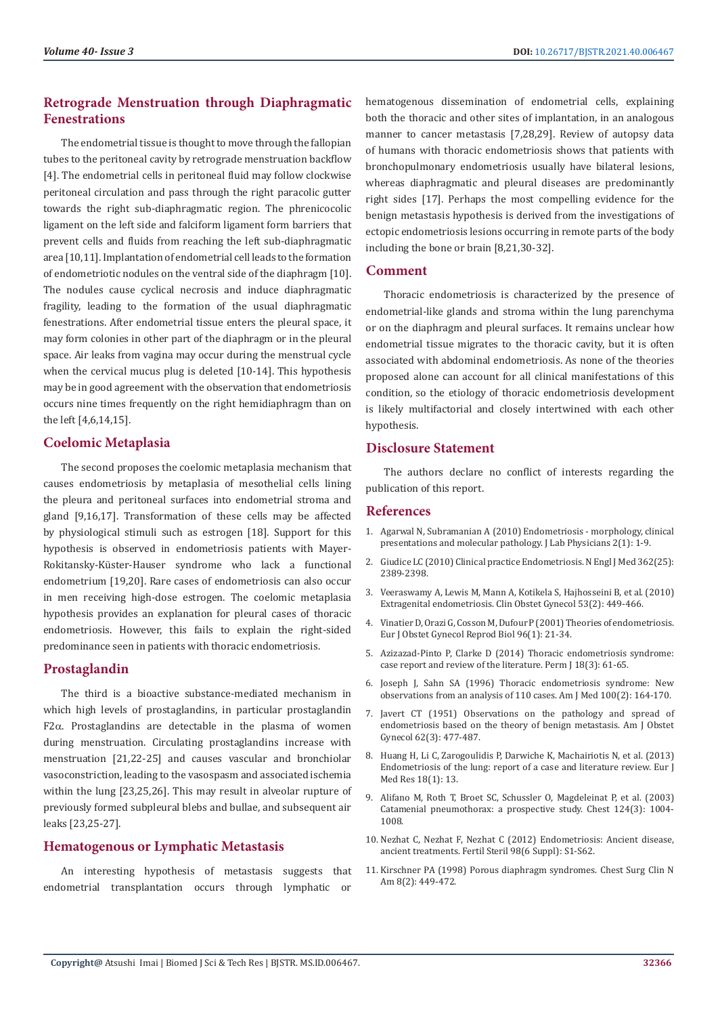# **Retrograde Menstruation through Diaphragmatic Fenestrations**

The endometrial tissue is thought to move through the fallopian tubes to the peritoneal cavity by retrograde menstruation backflow [4]. The endometrial cells in peritoneal fluid may follow clockwise peritoneal circulation and pass through the right paracolic gutter towards the right sub-diaphragmatic region. The phrenicocolic ligament on the left side and falciform ligament form barriers that prevent cells and fluids from reaching the left sub-diaphragmatic area [10,11]. Implantation of endometrial cell leads to the formation of endometriotic nodules on the ventral side of the diaphragm [10]. The nodules cause cyclical necrosis and induce diaphragmatic fragility, leading to the formation of the usual diaphragmatic fenestrations. After endometrial tissue enters the pleural space, it may form colonies in other part of the diaphragm or in the pleural space. Air leaks from vagina may occur during the menstrual cycle when the cervical mucus plug is deleted [10-14]. This hypothesis may be in good agreement with the observation that endometriosis occurs nine times frequently on the right hemidiaphragm than on the left [4,6,14,15].

## **Coelomic Metaplasia**

The second proposes the coelomic metaplasia mechanism that causes endometriosis by metaplasia of mesothelial cells lining the pleura and peritoneal surfaces into endometrial stroma and gland [9,16,17]. Transformation of these cells may be affected by physiological stimuli such as estrogen [18]. Support for this hypothesis is observed in endometriosis patients with Mayer-Rokitansky-Küster-Hauser syndrome who lack a functional endometrium [19,20]. Rare cases of endometriosis can also occur in men receiving high-dose estrogen. The coelomic metaplasia hypothesis provides an explanation for pleural cases of thoracic endometriosis. However, this fails to explain the right-sided predominance seen in patients with thoracic endometriosis.

### **Prostaglandin**

The third is a bioactive substance-mediated mechanism in which high levels of prostaglandins, in particular prostaglandin F2α. Prostaglandins are detectable in the plasma of women during menstruation. Circulating prostaglandins increase with menstruation [21,22-25] and causes vascular and bronchiolar vasoconstriction, leading to the vasospasm and associated ischemia within the lung [23,25,26]. This may result in alveolar rupture of previously formed subpleural blebs and bullae, and subsequent air leaks [23,25-27].

### **Hematogenous or Lymphatic Metastasis**

An interesting hypothesis of metastasis suggests that endometrial transplantation occurs through lymphatic or hematogenous dissemination of endometrial cells, explaining both the thoracic and other sites of implantation, in an analogous manner to cancer metastasis [7,28,29]. Review of autopsy data of humans with thoracic endometriosis shows that patients with bronchopulmonary endometriosis usually have bilateral lesions, whereas diaphragmatic and pleural diseases are predominantly right sides [17]. Perhaps the most compelling evidence for the benign metastasis hypothesis is derived from the investigations of ectopic endometriosis lesions occurring in remote parts of the body including the bone or brain [8,21,30-32].

### **Comment**

Thoracic endometriosis is characterized by the presence of endometrial-like glands and stroma within the lung parenchyma or on the diaphragm and pleural surfaces. It remains unclear how endometrial tissue migrates to the thoracic cavity, but it is often associated with abdominal endometriosis. As none of the theories proposed alone can account for all clinical manifestations of this condition, so the etiology of thoracic endometriosis development is likely multifactorial and closely intertwined with each other hypothesis.

## **Disclosure Statement**

The authors declare no conflict of interests regarding the publication of this report.

#### **References**

- 1. [Agarwal N, Subramanian A \(2010\) Endometriosis morphology, clinical](https://pubmed.ncbi.nlm.nih.gov/21814398/) [presentations and molecular pathology. J Lab Physicians 2\(1\): 1-9.](https://pubmed.ncbi.nlm.nih.gov/21814398/)
- 2. [Giudice LC \(2010\) Clinical practice Endometriosis. N Engl J Med 362\(25\):](https://pubmed.ncbi.nlm.nih.gov/20573927/) [2389-2398.](https://pubmed.ncbi.nlm.nih.gov/20573927/)
- 3. [Veeraswamy A, Lewis M, Mann A, Kotikela S, Hajhosseini B, et al. \(2010\)](https://pubmed.ncbi.nlm.nih.gov/20436322/) [Extragenital endometriosis. Clin Obstet Gynecol 53\(2\): 449-466.](https://pubmed.ncbi.nlm.nih.gov/20436322/)
- 4. [Vinatier D, Orazi G, Cosson M, Dufour P \(2001\) Theories of endometriosis.](https://pubmed.ncbi.nlm.nih.gov/11311757/) [Eur J Obstet Gynecol Reprod Biol 96\(1\): 21-34.](https://pubmed.ncbi.nlm.nih.gov/11311757/)
- 5. [Azizazad-Pinto P, Clarke D \(2014\) Thoracic endometriosis syndrome:](https://pubmed.ncbi.nlm.nih.gov/25102519/) [case report and review of the literature. Perm J 18\(3\): 61-65.](https://pubmed.ncbi.nlm.nih.gov/25102519/)
- 6. [Joseph J, Sahn SA \(1996\) Thoracic endometriosis syndrome: New](https://www.sciencedirect.com/science/article/abs/pii/S0002934397894545) [observations from an analysis of 110 cases. Am J Med 100\(2\): 164-170.](https://www.sciencedirect.com/science/article/abs/pii/S0002934397894545)
- 7. [Javert CT \(1951\) Observations on the pathology and spread of](https://pubmed.ncbi.nlm.nih.gov/14877911/) [endometriosis based on the theory of benign metastasis. Am J Obstet](https://pubmed.ncbi.nlm.nih.gov/14877911/) [Gynecol 62\(3\): 477-487.](https://pubmed.ncbi.nlm.nih.gov/14877911/)
- 8. [Huang H, Li C, Zarogoulidis P, Darwiche K, Machairiotis N, et al. \(2013\)](https://pubmed.ncbi.nlm.nih.gov/23634803/) [Endometriosis of the lung: report of a case and literature review. Eur J](https://pubmed.ncbi.nlm.nih.gov/23634803/) [Med Res 18\(1\): 13.](https://pubmed.ncbi.nlm.nih.gov/23634803/)
- 9. [Alifano M, Roth T, Broet SC, Schussler O, Magdeleinat P, et al. \(2003\)](https://pubmed.ncbi.nlm.nih.gov/12970030/) [Catamenial pneumothorax: a prospective study. Chest 124\(3\): 1004-](https://pubmed.ncbi.nlm.nih.gov/12970030/) [1008.](https://pubmed.ncbi.nlm.nih.gov/12970030/)
- 10. [Nezhat C, Nezhat F, Nezhat C \(2012\) Endometriosis: Ancient disease,](https://pubmed.ncbi.nlm.nih.gov/23084567/) [ancient treatments. Fertil Steril 98\(6 Suppl\): S1-S62.](https://pubmed.ncbi.nlm.nih.gov/23084567/)
- 11. [Kirschner PA \(1998\) Porous diaphragm syndromes. Chest Surg Clin N](https://pubmed.ncbi.nlm.nih.gov/9619316/) [Am 8\(2\): 449-472.](https://pubmed.ncbi.nlm.nih.gov/9619316/)